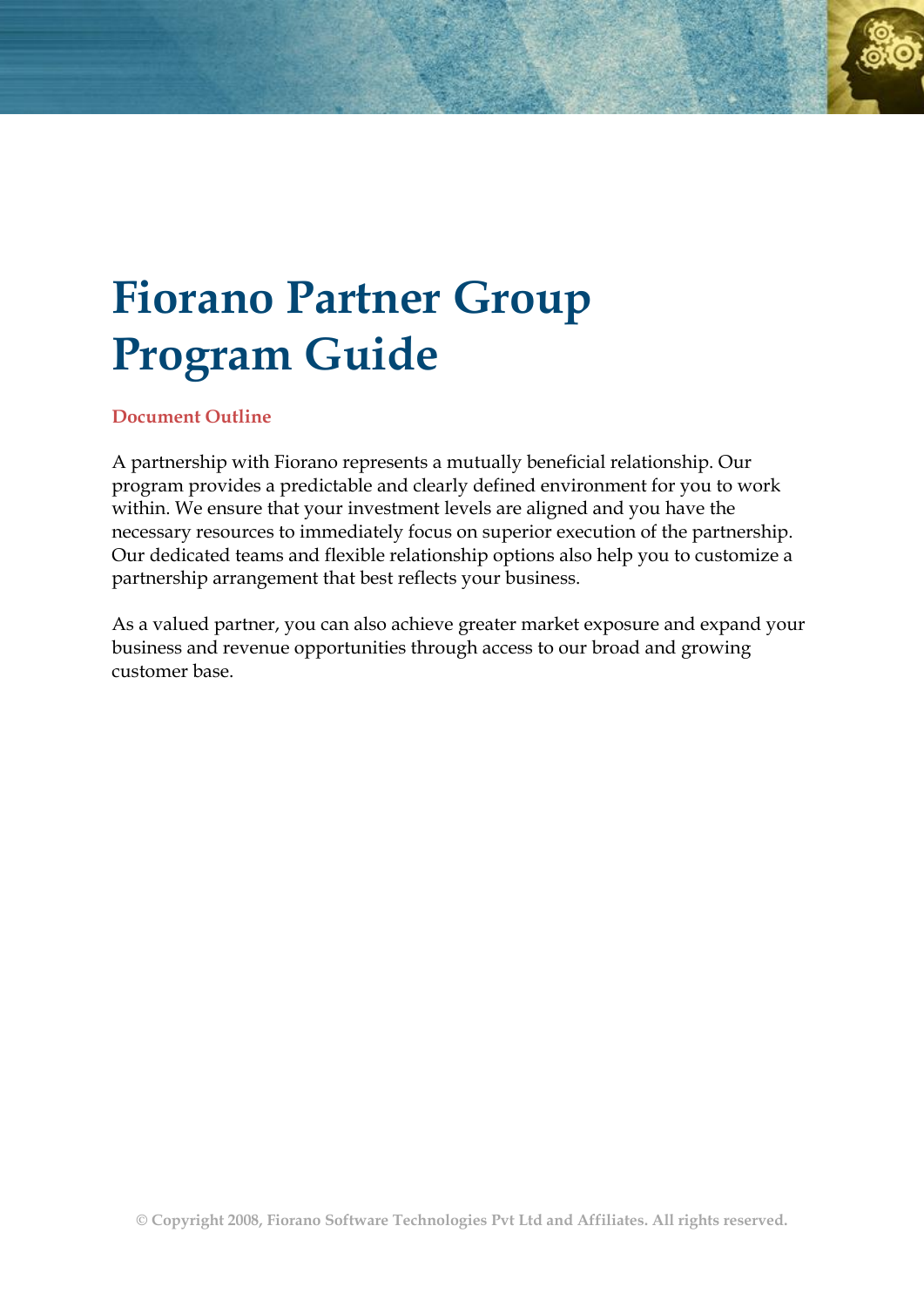# **Fiorano Partner Group Program Guide**

#### **Document Outline**

A partnership with Fiorano represents a mutually beneficial relationship. Our program provides a predictable and clearly defined environment for you to work within. We ensure that your investment levels are aligned and you have the necessary resources to immediately focus on superior execution of the partnership. Our dedicated teams and flexible relationship options also help you to customize a partnership arrangement that best reflects your business.

As a valued partner, you can also achieve greater market exposure and expand your business and revenue opportunities through access to our broad and growing customer base.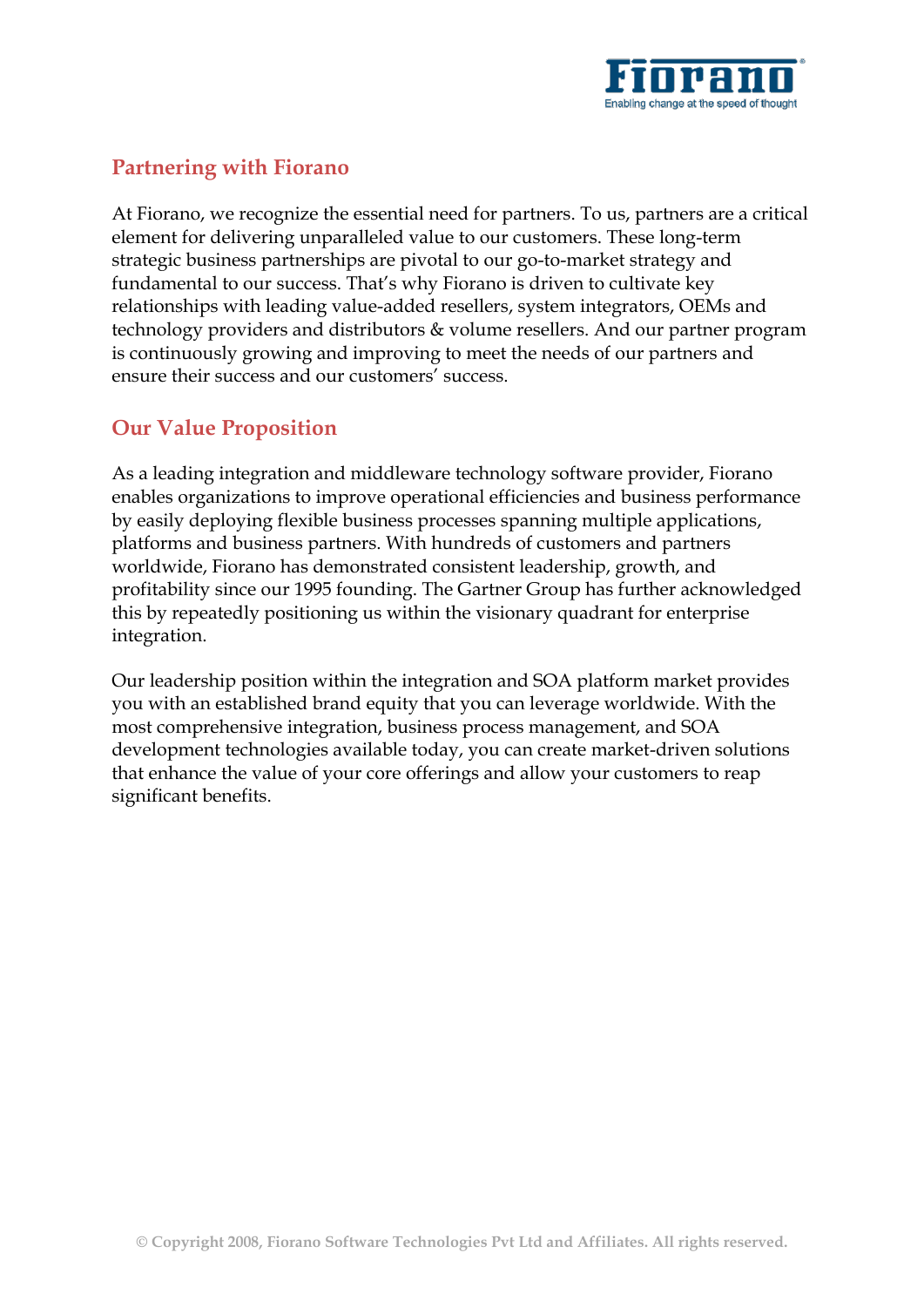

## **Partnering with Fiorano**

At Fiorano, we recognize the essential need for partners. To us, partners are a critical element for delivering unparalleled value to our customers. These long-term strategic business partnerships are pivotal to our go-to-market strategy and fundamental to our success. That's why Fiorano is driven to cultivate key relationships with leading value-added resellers, system integrators, OEMs and technology providers and distributors & volume resellers. And our partner program is continuously growing and improving to meet the needs of our partners and ensure their success and our customers' success.

## **Our Value Proposition**

As a leading integration and middleware technology software provider, Fiorano enables organizations to improve operational efficiencies and business performance by easily deploying flexible business processes spanning multiple applications, platforms and business partners. With hundreds of customers and partners worldwide, Fiorano has demonstrated consistent leadership, growth, and profitability since our 1995 founding. The Gartner Group has further acknowledged this by repeatedly positioning us within the visionary quadrant for enterprise integration.

Our leadership position within the integration and SOA platform market provides you with an established brand equity that you can leverage worldwide. With the most comprehensive integration, business process management, and SOA development technologies available today, you can create market-driven solutions that enhance the value of your core offerings and allow your customers to reap significant benefits.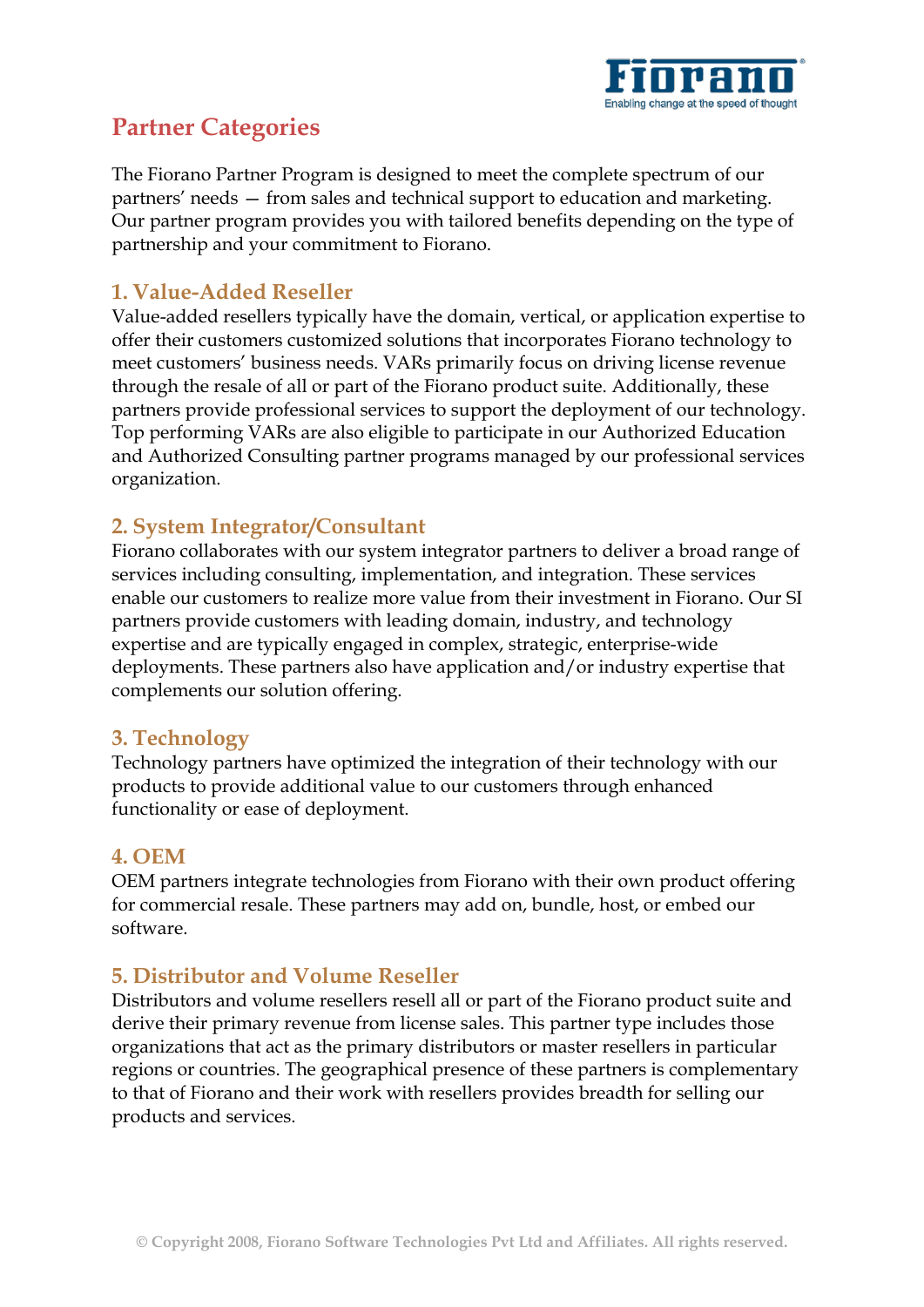

# **Partner Categories**

The Fiorano Partner Program is designed to meet the complete spectrum of our partners' needs — from sales and technical support to education and marketing. Our partner program provides you with tailored benefits depending on the type of partnership and your commitment to Fiorano.

### **1. Value-Added Reseller**

Value-added resellers typically have the domain, vertical, or application expertise to offer their customers customized solutions that incorporates Fiorano technology to meet customers' business needs. VARs primarily focus on driving license revenue through the resale of all or part of the Fiorano product suite. Additionally, these partners provide professional services to support the deployment of our technology. Top performing VARs are also eligible to participate in our Authorized Education and Authorized Consulting partner programs managed by our professional services organization.

## **2. System Integrator/Consultant**

Fiorano collaborates with our system integrator partners to deliver a broad range of services including consulting, implementation, and integration. These services enable our customers to realize more value from their investment in Fiorano. Our SI partners provide customers with leading domain, industry, and technology expertise and are typically engaged in complex, strategic, enterprise-wide deployments. These partners also have application and/or industry expertise that complements our solution offering.

#### **3. Technology**

Technology partners have optimized the integration of their technology with our products to provide additional value to our customers through enhanced functionality or ease of deployment.

#### **4. OEM**

OEM partners integrate technologies from Fiorano with their own product offering for commercial resale. These partners may add on, bundle, host, or embed our software.

## **5. Distributor and Volume Reseller**

Distributors and volume resellers resell all or part of the Fiorano product suite and derive their primary revenue from license sales. This partner type includes those organizations that act as the primary distributors or master resellers in particular regions or countries. The geographical presence of these partners is complementary to that of Fiorano and their work with resellers provides breadth for selling our products and services.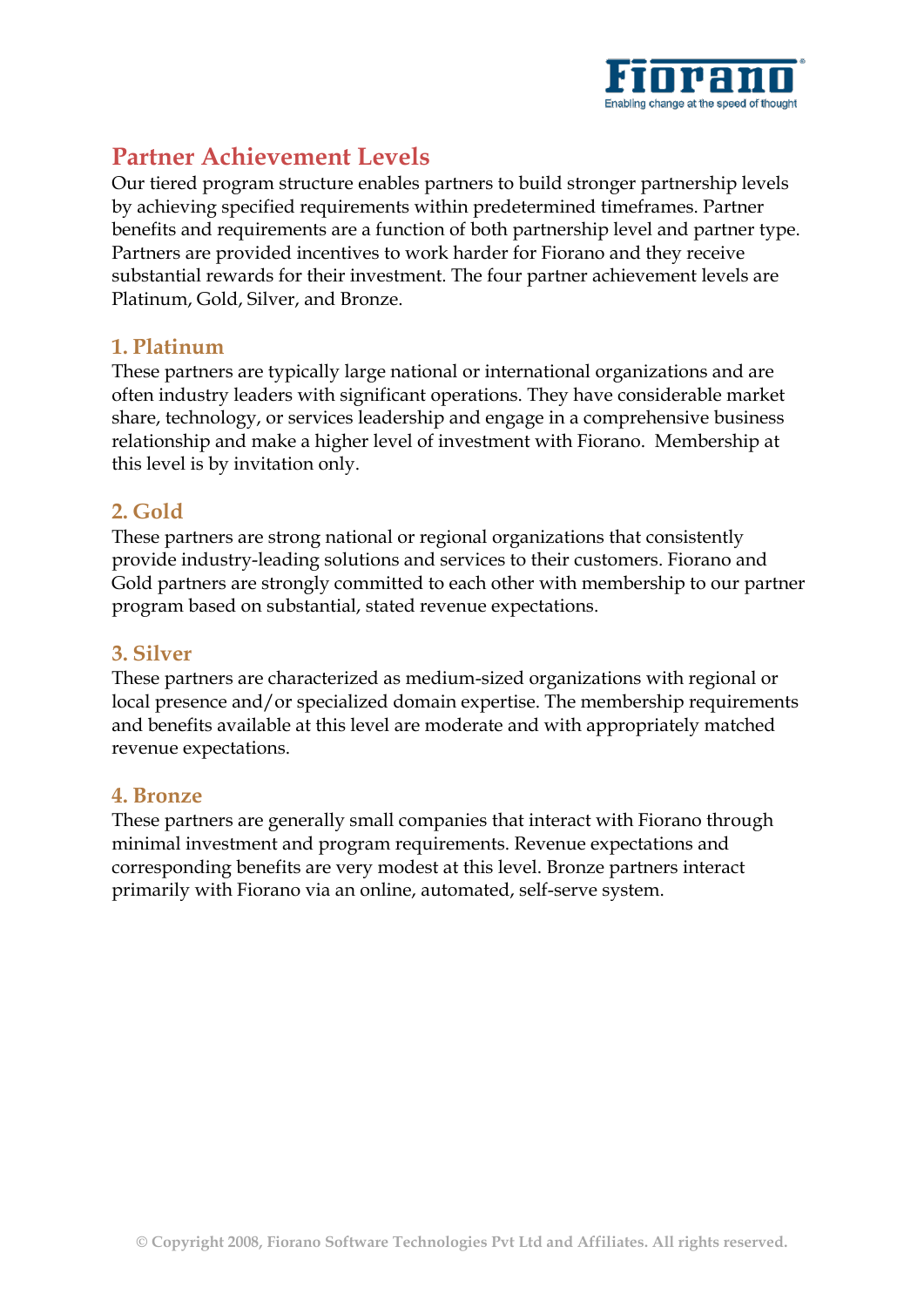

# **Partner Achievement Levels**

Our tiered program structure enables partners to build stronger partnership levels by achieving specified requirements within predetermined timeframes. Partner benefits and requirements are a function of both partnership level and partner type. Partners are provided incentives to work harder for Fiorano and they receive substantial rewards for their investment. The four partner achievement levels are Platinum, Gold, Silver, and Bronze.

#### **1. Platinum**

These partners are typically large national or international organizations and are often industry leaders with significant operations. They have considerable market share, technology, or services leadership and engage in a comprehensive business relationship and make a higher level of investment with Fiorano. Membership at this level is by invitation only.

#### **2. Gold**

These partners are strong national or regional organizations that consistently provide industry-leading solutions and services to their customers. Fiorano and Gold partners are strongly committed to each other with membership to our partner program based on substantial, stated revenue expectations.

#### **3. Silver**

These partners are characterized as medium-sized organizations with regional or local presence and/or specialized domain expertise. The membership requirements and benefits available at this level are moderate and with appropriately matched revenue expectations.

#### **4. Bronze**

These partners are generally small companies that interact with Fiorano through minimal investment and program requirements. Revenue expectations and corresponding benefits are very modest at this level. Bronze partners interact primarily with Fiorano via an online, automated, self-serve system.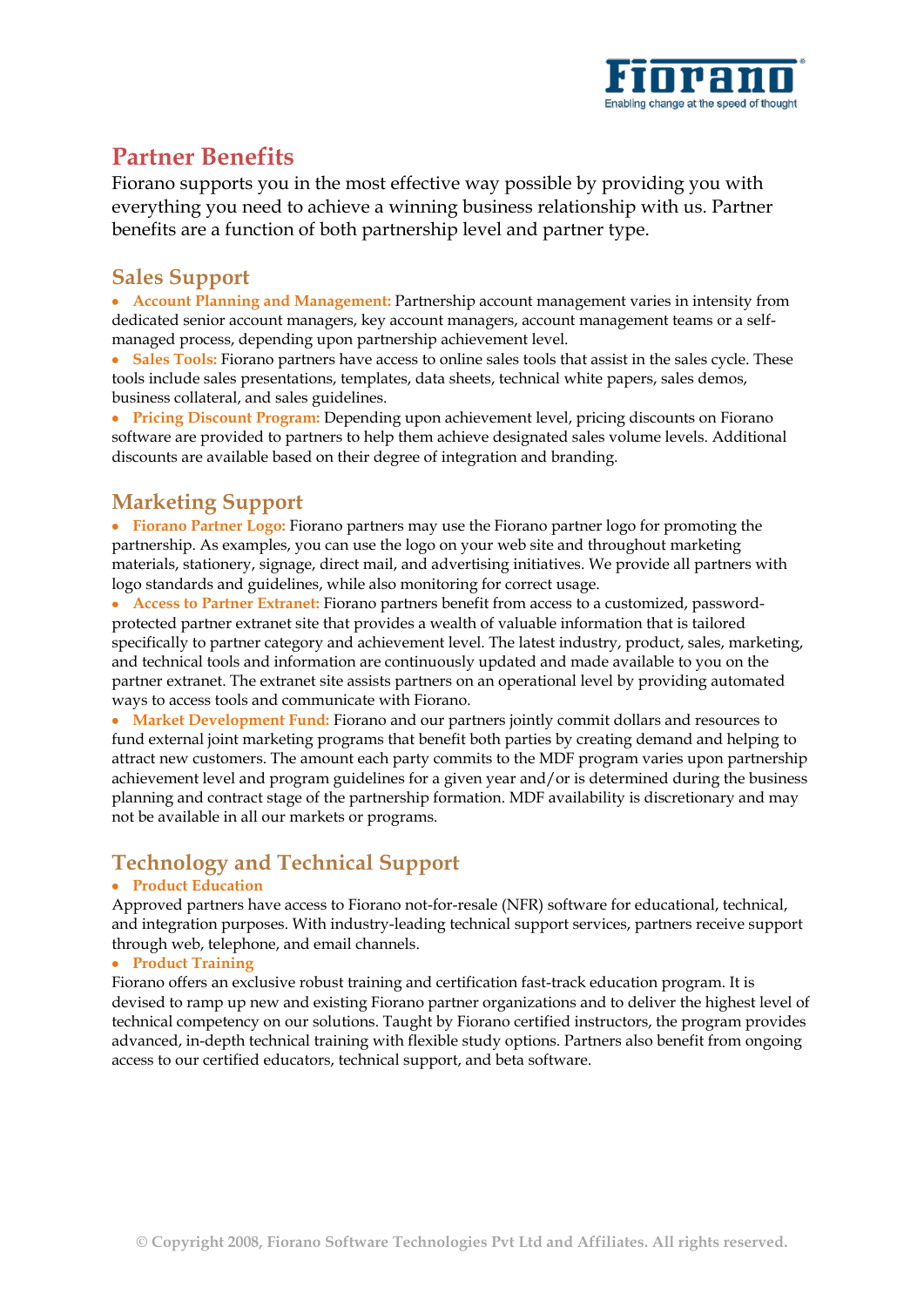

# **Partner Benefits**

Fiorano supports you in the most effective way possible by providing you with everything you need to achieve a winning business relationship with us. Partner benefits are a function of both partnership level and partner type.

#### **Sales Support**

**Account Planning and Management:** Partnership account management varies in intensity from dedicated senior account managers, key account managers, account management teams or a selfmanaged process, depending upon partnership achievement level.

• Sales Tools: Fiorano partners have access to online sales tools that assist in the sales cycle. These tools include sales presentations, templates, data sheets, technical white papers, sales demos, business collateral, and sales guidelines.

**Pricing Discount Program:** Depending upon achievement level, pricing discounts on Fiorano software are provided to partners to help them achieve designated sales volume levels. Additional discounts are available based on their degree of integration and branding.

# **Marketing Support**

**Fiorano Partner Logo:** Fiorano partners may use the Fiorano partner logo for promoting the partnership. As examples, you can use the logo on your web site and throughout marketing materials, stationery, signage, direct mail, and advertising initiatives. We provide all partners with logo standards and guidelines, while also monitoring for correct usage.

**Access to Partner Extranet:** Fiorano partners benefit from access to a customized, passwordprotected partner extranet site that provides a wealth of valuable information that is tailored specifically to partner category and achievement level. The latest industry, product, sales, marketing, and technical tools and information are continuously updated and made available to you on the partner extranet. The extranet site assists partners on an operational level by providing automated ways to access tools and communicate with Fiorano.

**Market Development Fund:** Fiorano and our partners jointly commit dollars and resources to fund external joint marketing programs that benefit both parties by creating demand and helping to attract new customers. The amount each party commits to the MDF program varies upon partnership achievement level and program guidelines for a given year and/or is determined during the business planning and contract stage of the partnership formation. MDF availability is discretionary and may not be available in all our markets or programs.

# **Technology and Technical Support**

#### **Product Education**

Approved partners have access to Fiorano not-for-resale (NFR) software for educational, technical, and integration purposes. With industry-leading technical support services, partners receive support through web, telephone, and email channels.

#### **Product Training**

Fiorano offers an exclusive robust training and certification fast-track education program. It is devised to ramp up new and existing Fiorano partner organizations and to deliver the highest level of technical competency on our solutions. Taught by Fiorano certified instructors, the program provides advanced, in-depth technical training with flexible study options. Partners also benefit from ongoing access to our certified educators, technical support, and beta software.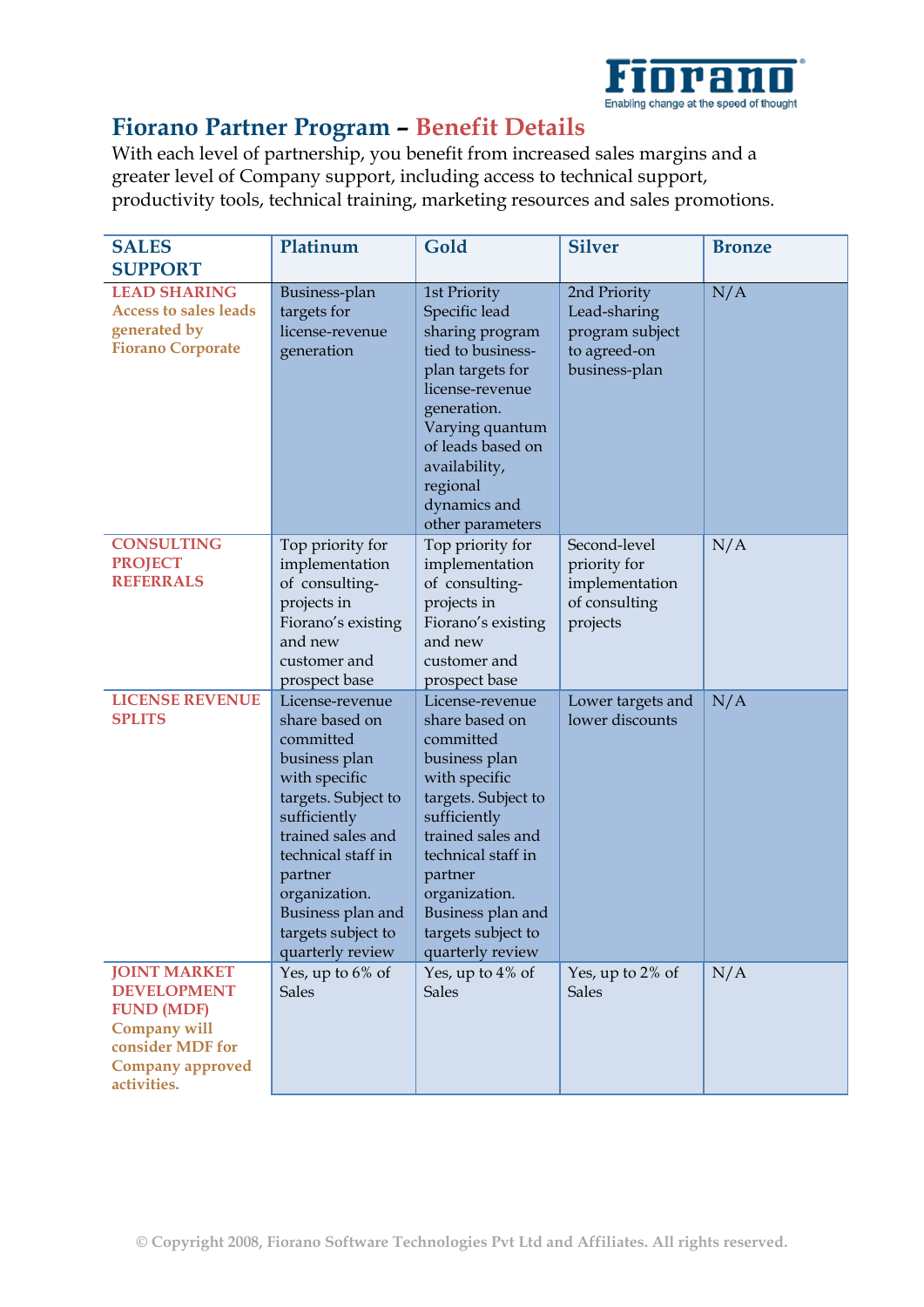

# **Fiorano Partner Program – Benefit Details**

With each level of partnership, you benefit from increased sales margins and a greater level of Company support, including access to technical support, productivity tools, technical training, marketing resources and sales promotions.

| <b>SALES</b><br><b>SUPPORT</b>                                                                                                                      | Platinum                                                                                                                                                                                                                                                      | Gold                                                                                                                                                                                                                                                          | <b>Silver</b>                                                                    | <b>Bronze</b> |
|-----------------------------------------------------------------------------------------------------------------------------------------------------|---------------------------------------------------------------------------------------------------------------------------------------------------------------------------------------------------------------------------------------------------------------|---------------------------------------------------------------------------------------------------------------------------------------------------------------------------------------------------------------------------------------------------------------|----------------------------------------------------------------------------------|---------------|
| <b>LEAD SHARING</b><br><b>Access to sales leads</b><br>generated by<br><b>Fiorano Corporate</b>                                                     | Business-plan<br>targets for<br>license-revenue<br>generation                                                                                                                                                                                                 | 1st Priority<br>Specific lead<br>sharing program<br>tied to business-<br>plan targets for<br>license-revenue<br>generation.<br>Varying quantum<br>of leads based on<br>availability,<br>regional<br>dynamics and<br>other parameters                          | 2nd Priority<br>Lead-sharing<br>program subject<br>to agreed-on<br>business-plan | N/A           |
| <b>CONSULTING</b><br><b>PROJECT</b><br><b>REFERRALS</b>                                                                                             | Top priority for<br>implementation<br>of consulting-<br>projects in<br>Fiorano's existing<br>and new<br>customer and<br>prospect base                                                                                                                         | Top priority for<br>implementation<br>of consulting-<br>projects in<br>Fiorano's existing<br>and new<br>customer and<br>prospect base                                                                                                                         | Second-level<br>priority for<br>implementation<br>of consulting<br>projects      | N/A           |
| <b>LICENSE REVENUE</b><br><b>SPLITS</b>                                                                                                             | License-revenue<br>share based on<br>committed<br>business plan<br>with specific<br>targets. Subject to<br>sufficiently<br>trained sales and<br>technical staff in<br>partner<br>organization.<br>Business plan and<br>targets subject to<br>quarterly review | License-revenue<br>share based on<br>committed<br>business plan<br>with specific<br>targets. Subject to<br>sufficiently<br>trained sales and<br>technical staff in<br>partner<br>organization.<br>Business plan and<br>targets subject to<br>quarterly review | Lower targets and<br>lower discounts                                             | N/A           |
| <b>JOINT MARKET</b><br><b>DEVELOPMENT</b><br><b>FUND (MDF)</b><br><b>Company will</b><br>consider MDF for<br><b>Company approved</b><br>activities. | Yes, up to 6% of<br><b>Sales</b>                                                                                                                                                                                                                              | Yes, up to 4% of<br><b>Sales</b>                                                                                                                                                                                                                              | Yes, up to 2% of<br><b>Sales</b>                                                 | N/A           |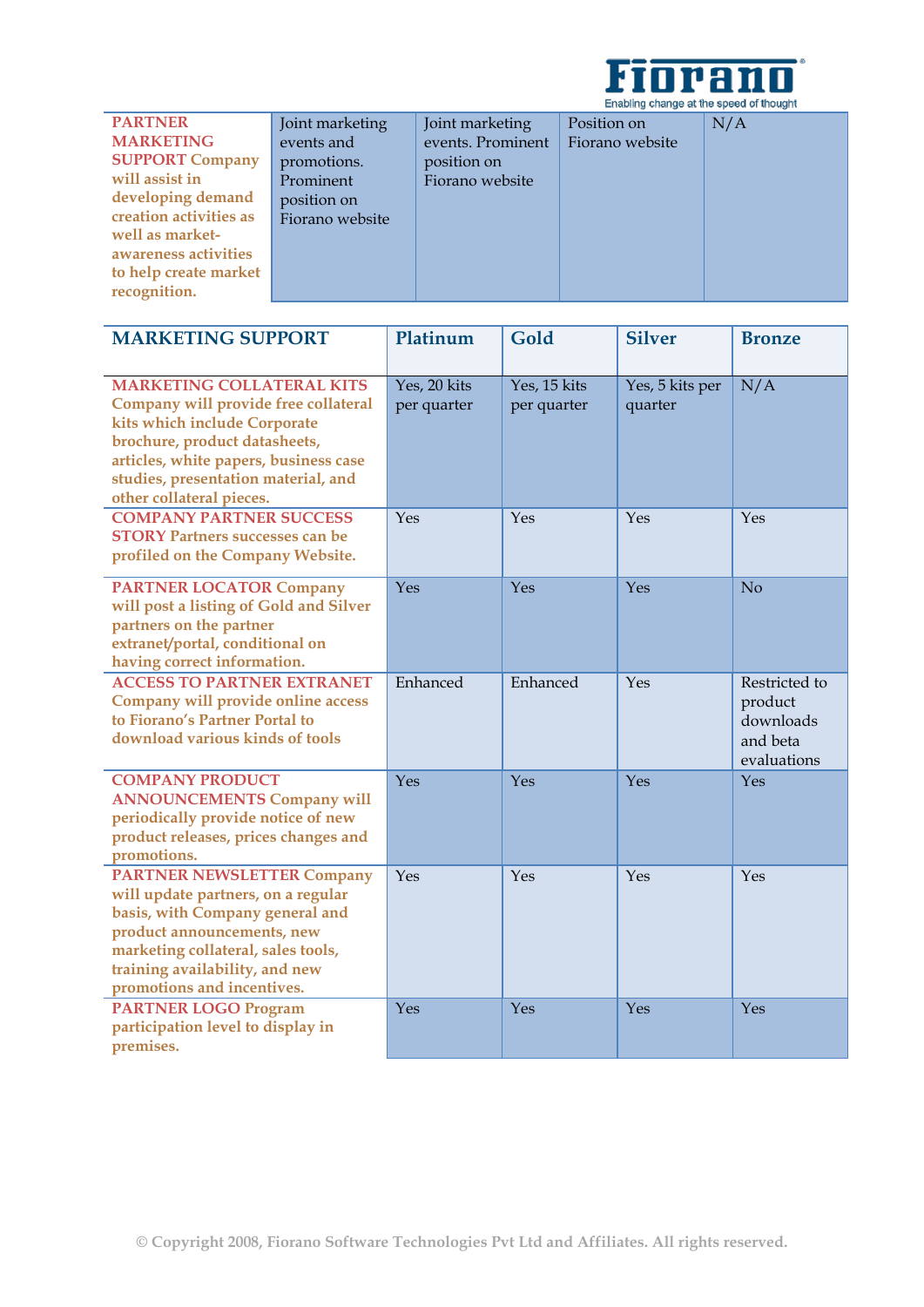

| <b>PARTNER</b>         | Joint marketing | Joint marketing   | Position on     | N/A |
|------------------------|-----------------|-------------------|-----------------|-----|
| <b>MARKETING</b>       | events and      | events. Prominent | Fiorano website |     |
| <b>SUPPORT Company</b> | promotions.     | position on       |                 |     |
| will assist in         | Prominent       | Fiorano website   |                 |     |
| developing demand      | position on     |                   |                 |     |
| creation activities as | Fiorano website |                   |                 |     |
| well as market-        |                 |                   |                 |     |
| awareness activities   |                 |                   |                 |     |
| to help create market  |                 |                   |                 |     |
| recognition.           |                 |                   |                 |     |
|                        |                 |                   |                 |     |

| <b>MARKETING SUPPORT</b>                                                                                                                                                                                                                              | Platinum                    | Gold                        | <b>Silver</b>              | <b>Bronze</b>                                                    |
|-------------------------------------------------------------------------------------------------------------------------------------------------------------------------------------------------------------------------------------------------------|-----------------------------|-----------------------------|----------------------------|------------------------------------------------------------------|
|                                                                                                                                                                                                                                                       |                             |                             |                            |                                                                  |
| <b>MARKETING COLLATERAL KITS</b><br>Company will provide free collateral<br>kits which include Corporate<br>brochure, product datasheets,<br>articles, white papers, business case<br>studies, presentation material, and<br>other collateral pieces. | Yes, 20 kits<br>per quarter | Yes, 15 kits<br>per quarter | Yes, 5 kits per<br>quarter | N/A                                                              |
| <b>COMPANY PARTNER SUCCESS</b><br><b>STORY Partners successes can be</b><br>profiled on the Company Website.                                                                                                                                          | Yes                         | Yes                         | Yes                        | Yes                                                              |
| <b>PARTNER LOCATOR Company</b><br>will post a listing of Gold and Silver<br>partners on the partner<br>extranet/portal, conditional on<br>having correct information.                                                                                 | Yes                         | Yes                         | Yes                        | N <sub>o</sub>                                                   |
| <b>ACCESS TO PARTNER EXTRANET</b><br>Company will provide online access<br>to Fiorano's Partner Portal to<br>download various kinds of tools                                                                                                          | Enhanced                    | Enhanced                    | Yes                        | Restricted to<br>product<br>downloads<br>and beta<br>evaluations |
| <b>COMPANY PRODUCT</b><br><b>ANNOUNCEMENTS Company will</b><br>periodically provide notice of new<br>product releases, prices changes and<br>promotions.                                                                                              | Yes                         | Yes                         | Yes                        | Yes                                                              |
| <b>PARTNER NEWSLETTER Company</b><br>will update partners, on a regular<br>basis, with Company general and<br>product announcements, new<br>marketing collateral, sales tools,<br>training availability, and new<br>promotions and incentives.        | Yes                         | Yes                         | Yes                        | Yes                                                              |
| <b>PARTNER LOGO Program</b><br>participation level to display in<br>premises.                                                                                                                                                                         | Yes                         | Yes                         | Yes                        | Yes                                                              |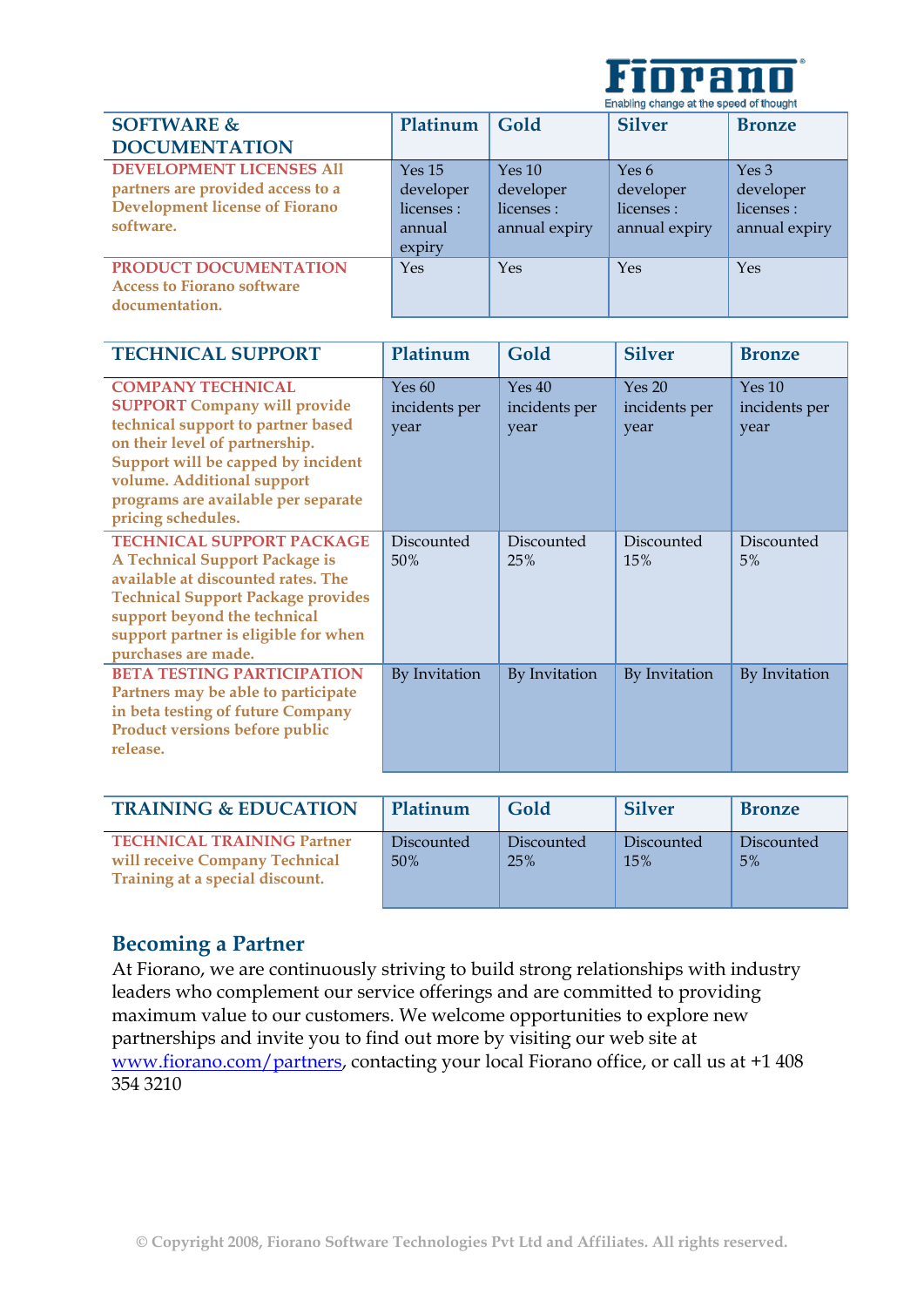

| Lindoming chiange at the speed of thought |               |               |               |
|-------------------------------------------|---------------|---------------|---------------|
| Platinum                                  | Gold          | <b>Silver</b> | <b>Bronze</b> |
|                                           |               |               |               |
| Yes <sub>15</sub>                         | Yes 10        | Yes $6$       | Yes 3         |
| developer                                 | developer     | developer     | developer     |
| licenses :                                | licenses :    | licenses :    | licenses :    |
| annual                                    | annual expiry | annual expiry | annual expiry |
| expiry                                    |               |               |               |
| Yes                                       | Yes           | Yes           | Yes           |
|                                           |               |               |               |
|                                           |               |               |               |
|                                           |               |               |               |

| <b>TECHNICAL SUPPORT</b>                                                                                                                                                                                                                                                 | Platinum                        | Gold                            | <b>Silver</b>                   | <b>Bronze</b>                   |
|--------------------------------------------------------------------------------------------------------------------------------------------------------------------------------------------------------------------------------------------------------------------------|---------------------------------|---------------------------------|---------------------------------|---------------------------------|
| <b>COMPANY TECHNICAL</b><br><b>SUPPORT Company will provide</b><br>technical support to partner based<br>on their level of partnership.<br>Support will be capped by incident<br>volume. Additional support<br>programs are available per separate<br>pricing schedules. | Yes 60<br>incidents per<br>year | Yes 40<br>incidents per<br>year | Yes 20<br>incidents per<br>year | Yes 10<br>incidents per<br>year |
| <b>TECHNICAL SUPPORT PACKAGE</b><br><b>A Technical Support Package is</b><br>available at discounted rates. The<br><b>Technical Support Package provides</b><br>support beyond the technical<br>support partner is eligible for when<br>purchases are made.              | Discounted<br>50%               | Discounted<br>25%               | Discounted<br>15%               | Discounted<br>5%                |
| <b>BETA TESTING PARTICIPATION</b><br>Partners may be able to participate<br>in beta testing of future Company<br>Product versions before public<br>release.                                                                                                              | By Invitation                   | By Invitation                   | By Invitation                   | By Invitation                   |

| <b>TRAINING &amp; EDUCATION</b>                                                                        | Platinum          | Gold              | <b>Silver</b>     | <b>Bronze</b>    |
|--------------------------------------------------------------------------------------------------------|-------------------|-------------------|-------------------|------------------|
| <b>TECHNICAL TRAINING Partner</b><br>will receive Company Technical<br>Training at a special discount. | Discounted<br>50% | Discounted<br>25% | Discounted<br>15% | Discounted<br>5% |

#### **Becoming a Partner**

At Fiorano, we are continuously striving to build strong relationships with industry leaders who complement our service offerings and are committed to providing maximum value to our customers. We welcome opportunities to explore new partnerships and invite you to find out more by visiting our web site at www.fiorano.com/partners, contacting your local Fiorano office, or call us at +1 408 354 3210